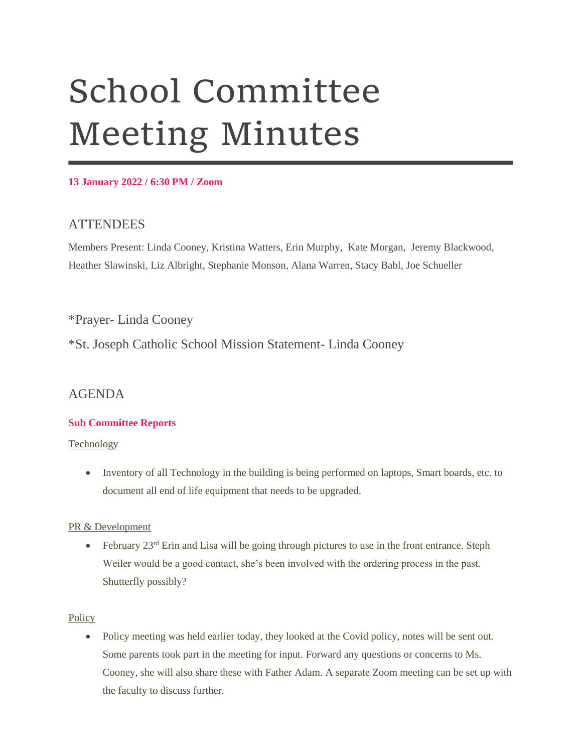# School Committee Meeting Minutes

#### **13 January 2022 / 6:30 PM / Zoom**

# **ATTENDEES**

Members Present: Linda Cooney, Kristina Watters, Erin Murphy, Kate Morgan, Jeremy Blackwood, Heather Slawinski, Liz Albright, Stephanie Monson, Alana Warren, Stacy Babl, Joe Schueller

\*Prayer- Linda Cooney

\*St. Joseph Catholic School Mission Statement- Linda Cooney

# AGENDA

# **Sub Committee Reports**

**Technology** 

• Inventory of all Technology in the building is being performed on laptops, Smart boards, etc. to document all end of life equipment that needs to be upgraded.

# PR & Development

 $\bullet$  February 23<sup>rd</sup> Erin and Lisa will be going through pictures to use in the front entrance. Steph Weiler would be a good contact, she's been involved with the ordering process in the past. Shutterfly possibly?

# **Policy**

• Policy meeting was held earlier today, they looked at the Covid policy, notes will be sent out. Some parents took part in the meeting for input. Forward any questions or concerns to Ms. Cooney, she will also share these with Father Adam. A separate Zoom meeting can be set up with the faculty to discuss further.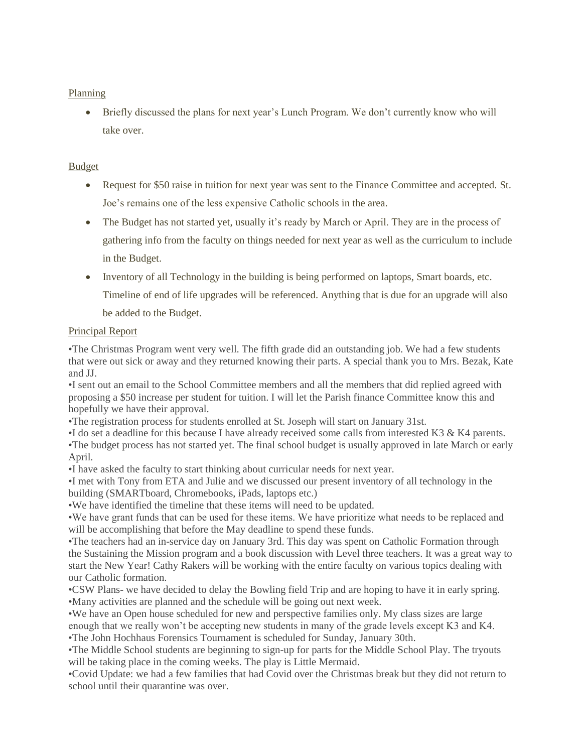#### Planning

 Briefly discussed the plans for next year's Lunch Program. We don't currently know who will take over.

#### Budget

- Request for \$50 raise in tuition for next year was sent to the Finance Committee and accepted. St. Joe's remains one of the less expensive Catholic schools in the area.
- The Budget has not started yet, usually it's ready by March or April. They are in the process of gathering info from the faculty on things needed for next year as well as the curriculum to include in the Budget.
- Inventory of all Technology in the building is being performed on laptops, Smart boards, etc. Timeline of end of life upgrades will be referenced. Anything that is due for an upgrade will also be added to the Budget.

#### Principal Report

•The Christmas Program went very well. The fifth grade did an outstanding job. We had a few students that were out sick or away and they returned knowing their parts. A special thank you to Mrs. Bezak, Kate and JJ.

•I sent out an email to the School Committee members and all the members that did replied agreed with proposing a \$50 increase per student for tuition. I will let the Parish finance Committee know this and hopefully we have their approval.

•The registration process for students enrolled at St. Joseph will start on January 31st.

•I do set a deadline for this because I have already received some calls from interested K3 & K4 parents. •The budget process has not started yet. The final school budget is usually approved in late March or early April.

•I have asked the faculty to start thinking about curricular needs for next year.

•I met with Tony from ETA and Julie and we discussed our present inventory of all technology in the building (SMARTboard, Chromebooks, iPads, laptops etc.)

•We have identified the timeline that these items will need to be updated.

•We have grant funds that can be used for these items. We have prioritize what needs to be replaced and will be accomplishing that before the May deadline to spend these funds.

•The teachers had an in-service day on January 3rd. This day was spent on Catholic Formation through the Sustaining the Mission program and a book discussion with Level three teachers. It was a great way to start the New Year! Cathy Rakers will be working with the entire faculty on various topics dealing with our Catholic formation.

•CSW Plans- we have decided to delay the Bowling field Trip and are hoping to have it in early spring. •Many activities are planned and the schedule will be going out next week.

•We have an Open house scheduled for new and perspective families only. My class sizes are large enough that we really won't be accepting new students in many of the grade levels except K3 and K4. •The John Hochhaus Forensics Tournament is scheduled for Sunday, January 30th.

•The Middle School students are beginning to sign-up for parts for the Middle School Play. The tryouts will be taking place in the coming weeks. The play is Little Mermaid.

•Covid Update: we had a few families that had Covid over the Christmas break but they did not return to school until their quarantine was over.